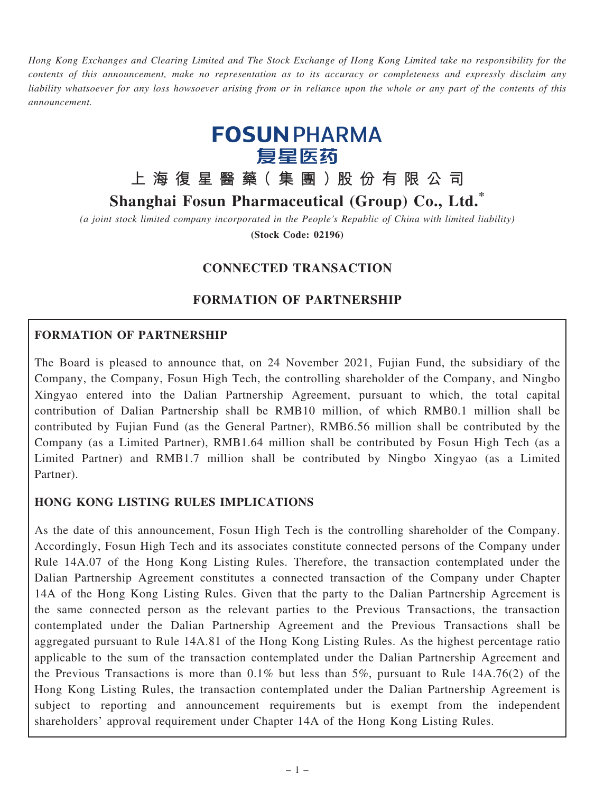Hong Kong Exchanges and Clearing Limited and The Stock Exchange of Hong Kong Limited take no responsibility for the contents of this announcement, make no representation as to its accuracy or completeness and expressly disclaim any liability whatsoever for any loss howsoever arising from or in reliance upon the whole or any part of the contents of this announcement.



# 上 海 復 星 醫 藥( 集 團 )股 份 有 限 公 司

# Shanghai Fosun Pharmaceutical (Group) Co., Ltd.\*

(a joint stock limited company incorporated in the People's Republic of China with limited liability)

(Stock Code: 02196)

# CONNECTED TRANSACTION

# FORMATION OF PARTNERSHIP

### FORMATION OF PARTNERSHIP

The Board is pleased to announce that, on 24 November 2021, Fujian Fund, the subsidiary of the Company, the Company, Fosun High Tech, the controlling shareholder of the Company, and Ningbo Xingyao entered into the Dalian Partnership Agreement, pursuant to which, the total capital contribution of Dalian Partnership shall be RMB10 million, of which RMB0.1 million shall be contributed by Fujian Fund (as the General Partner), RMB6.56 million shall be contributed by the Company (as a Limited Partner), RMB1.64 million shall be contributed by Fosun High Tech (as a Limited Partner) and RMB1.7 million shall be contributed by Ningbo Xingyao (as a Limited Partner).

### HONG KONG LISTING RULES IMPLICATIONS

As the date of this announcement, Fosun High Tech is the controlling shareholder of the Company. Accordingly, Fosun High Tech and its associates constitute connected persons of the Company under Rule 14A.07 of the Hong Kong Listing Rules. Therefore, the transaction contemplated under the Dalian Partnership Agreement constitutes a connected transaction of the Company under Chapter 14A of the Hong Kong Listing Rules. Given that the party to the Dalian Partnership Agreement is the same connected person as the relevant parties to the Previous Transactions, the transaction contemplated under the Dalian Partnership Agreement and the Previous Transactions shall be aggregated pursuant to Rule 14A.81 of the Hong Kong Listing Rules. As the highest percentage ratio applicable to the sum of the transaction contemplated under the Dalian Partnership Agreement and the Previous Transactions is more than 0.1% but less than 5%, pursuant to Rule 14A.76(2) of the Hong Kong Listing Rules, the transaction contemplated under the Dalian Partnership Agreement is subject to reporting and announcement requirements but is exempt from the independent shareholders' approval requirement under Chapter 14A of the Hong Kong Listing Rules.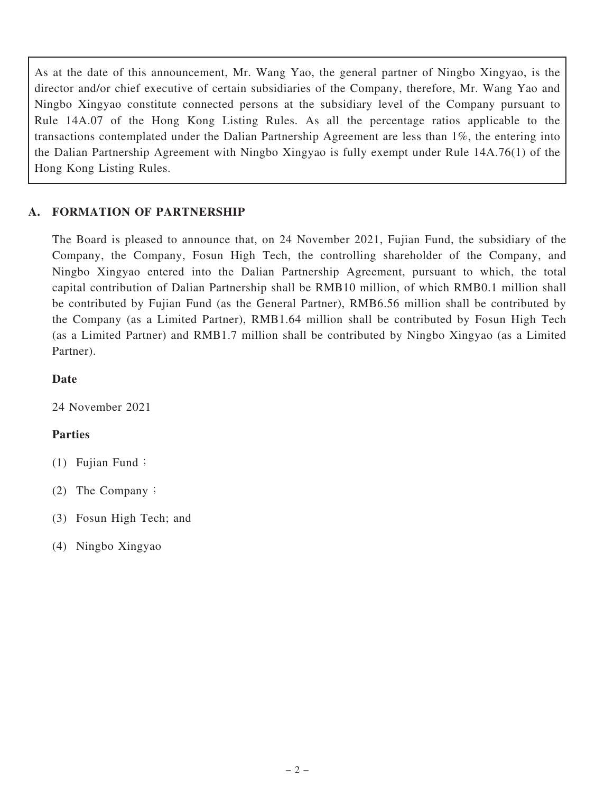As at the date of this announcement, Mr. Wang Yao, the general partner of Ningbo Xingyao, is the director and/or chief executive of certain subsidiaries of the Company, therefore, Mr. Wang Yao and Ningbo Xingyao constitute connected persons at the subsidiary level of the Company pursuant to Rule 14A.07 of the Hong Kong Listing Rules. As all the percentage ratios applicable to the transactions contemplated under the Dalian Partnership Agreement are less than 1%, the entering into the Dalian Partnership Agreement with Ningbo Xingyao is fully exempt under Rule 14A.76(1) of the Hong Kong Listing Rules.

# A. FORMATION OF PARTNERSHIP

The Board is pleased to announce that, on 24 November 2021, Fujian Fund, the subsidiary of the Company, the Company, Fosun High Tech, the controlling shareholder of the Company, and Ningbo Xingyao entered into the Dalian Partnership Agreement, pursuant to which, the total capital contribution of Dalian Partnership shall be RMB10 million, of which RMB0.1 million shall be contributed by Fujian Fund (as the General Partner), RMB6.56 million shall be contributed by the Company (as a Limited Partner), RMB1.64 million shall be contributed by Fosun High Tech (as a Limited Partner) and RMB1.7 million shall be contributed by Ningbo Xingyao (as a Limited Partner).

# Date

24 November 2021

# Parties

- $(1)$  Fujian Fund;
- (2) The Company;
- (3) Fosun High Tech; and
- (4) Ningbo Xingyao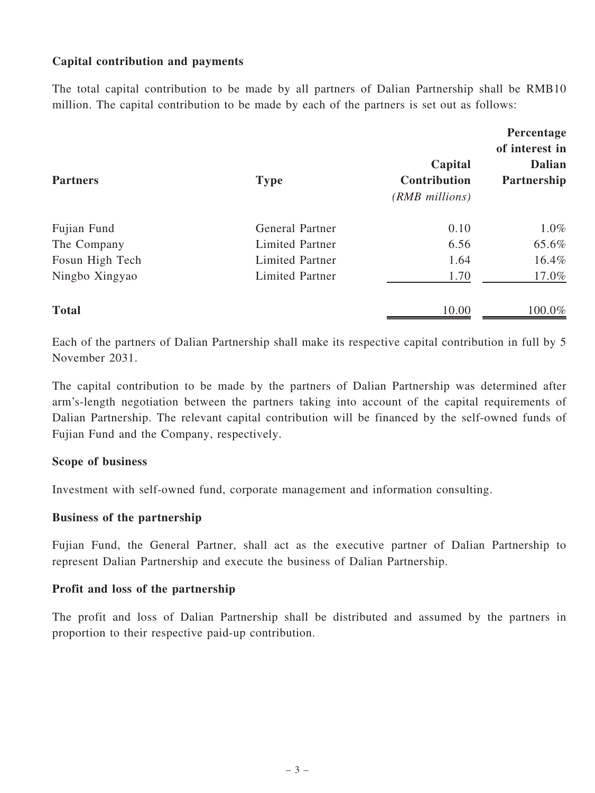### Capital contribution and payments

The total capital contribution to be made by all partners of Dalian Partnership shall be RMB10 million. The capital contribution to be made by each of the partners is set out as follows:

| <b>Partners</b> | <b>Type</b>            | Capital<br>Contribution<br>(RMB millions) | Percentage<br>of interest in<br><b>Dalian</b><br>Partnership |
|-----------------|------------------------|-------------------------------------------|--------------------------------------------------------------|
| Fujian Fund     | <b>General Partner</b> | 0.10                                      | 1.0%                                                         |
| The Company     | Limited Partner        | 6.56                                      | 65.6%                                                        |
| Fosun High Tech | Limited Partner        | 1.64                                      | 16.4%                                                        |
| Ningbo Xingyao  | Limited Partner        | 1.70                                      | 17.0%                                                        |
| <b>Total</b>    |                        | 10.00                                     | 100.0%                                                       |

Each of the partners of Dalian Partnership shall make its respective capital contribution in full by 5 November 2031.

The capital contribution to be made by the partners of Dalian Partnership was determined after arm's-length negotiation between the partners taking into account of the capital requirements of Dalian Partnership. The relevant capital contribution will be financed by the self-owned funds of Fujian Fund and the Company, respectively.

#### Scope of business

Investment with self-owned fund, corporate management and information consulting.

#### Business of the partnership

Fujian Fund, the General Partner, shall act as the executive partner of Dalian Partnership to represent Dalian Partnership and execute the business of Dalian Partnership.

#### Profit and loss of the partnership

The profit and loss of Dalian Partnership shall be distributed and assumed by the partners in proportion to their respective paid-up contribution.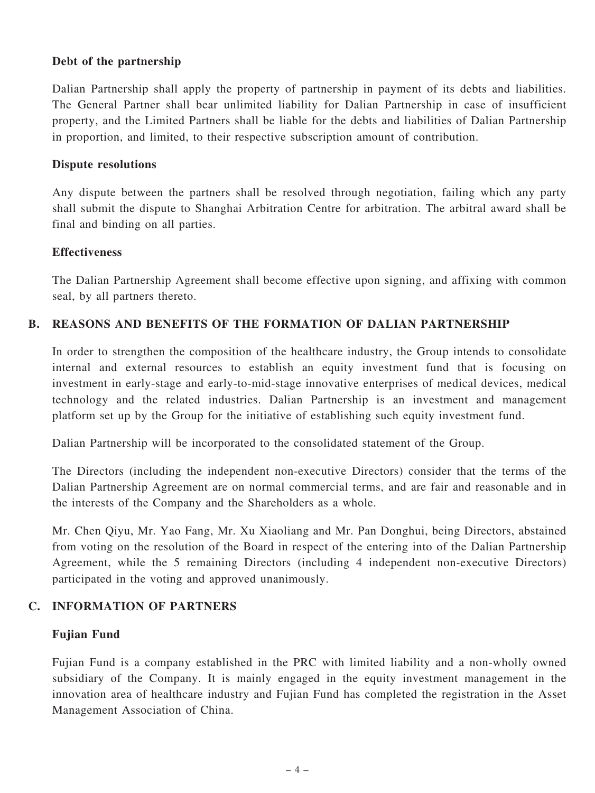### Debt of the partnership

Dalian Partnership shall apply the property of partnership in payment of its debts and liabilities. The General Partner shall bear unlimited liability for Dalian Partnership in case of insufficient property, and the Limited Partners shall be liable for the debts and liabilities of Dalian Partnership in proportion, and limited, to their respective subscription amount of contribution.

#### Dispute resolutions

Any dispute between the partners shall be resolved through negotiation, failing which any party shall submit the dispute to Shanghai Arbitration Centre for arbitration. The arbitral award shall be final and binding on all parties.

#### **Effectiveness**

The Dalian Partnership Agreement shall become effective upon signing, and affixing with common seal, by all partners thereto.

### B. REASONS AND BENEFITS OF THE FORMATION OF DALIAN PARTNERSHIP

In order to strengthen the composition of the healthcare industry, the Group intends to consolidate internal and external resources to establish an equity investment fund that is focusing on investment in early-stage and early-to-mid-stage innovative enterprises of medical devices, medical technology and the related industries. Dalian Partnership is an investment and management platform set up by the Group for the initiative of establishing such equity investment fund.

Dalian Partnership will be incorporated to the consolidated statement of the Group.

The Directors (including the independent non-executive Directors) consider that the terms of the Dalian Partnership Agreement are on normal commercial terms, and are fair and reasonable and in the interests of the Company and the Shareholders as a whole.

Mr. Chen Qiyu, Mr. Yao Fang, Mr. Xu Xiaoliang and Mr. Pan Donghui, being Directors, abstained from voting on the resolution of the Board in respect of the entering into of the Dalian Partnership Agreement, while the 5 remaining Directors (including 4 independent non-executive Directors) participated in the voting and approved unanimously.

#### C. INFORMATION OF PARTNERS

#### Fujian Fund

Fujian Fund is a company established in the PRC with limited liability and a non-wholly owned subsidiary of the Company. It is mainly engaged in the equity investment management in the innovation area of healthcare industry and Fujian Fund has completed the registration in the Asset Management Association of China.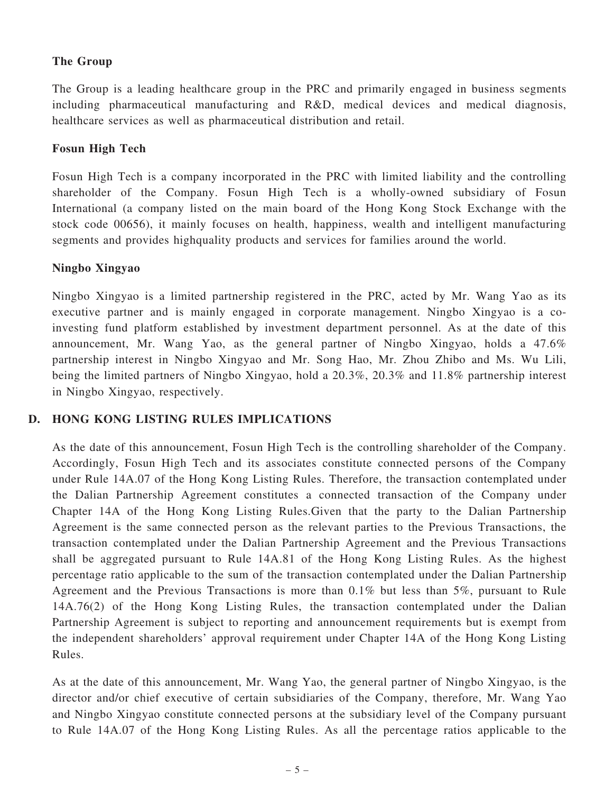## The Group

The Group is a leading healthcare group in the PRC and primarily engaged in business segments including pharmaceutical manufacturing and R&D, medical devices and medical diagnosis, healthcare services as well as pharmaceutical distribution and retail.

### Fosun High Tech

Fosun High Tech is a company incorporated in the PRC with limited liability and the controlling shareholder of the Company. Fosun High Tech is a wholly-owned subsidiary of Fosun International (a company listed on the main board of the Hong Kong Stock Exchange with the stock code 00656), it mainly focuses on health, happiness, wealth and intelligent manufacturing segments and provides highquality products and services for families around the world.

### Ningbo Xingyao

Ningbo Xingyao is a limited partnership registered in the PRC, acted by Mr. Wang Yao as its executive partner and is mainly engaged in corporate management. Ningbo Xingyao is a coinvesting fund platform established by investment department personnel. As at the date of this announcement, Mr. Wang Yao, as the general partner of Ningbo Xingyao, holds a 47.6% partnership interest in Ningbo Xingyao and Mr. Song Hao, Mr. Zhou Zhibo and Ms. Wu Lili, being the limited partners of Ningbo Xingyao, hold a 20.3%, 20.3% and 11.8% partnership interest in Ningbo Xingyao, respectively.

### D. HONG KONG LISTING RULES IMPLICATIONS

As the date of this announcement, Fosun High Tech is the controlling shareholder of the Company. Accordingly, Fosun High Tech and its associates constitute connected persons of the Company under Rule 14A.07 of the Hong Kong Listing Rules. Therefore, the transaction contemplated under the Dalian Partnership Agreement constitutes a connected transaction of the Company under Chapter 14A of the Hong Kong Listing Rules.Given that the party to the Dalian Partnership Agreement is the same connected person as the relevant parties to the Previous Transactions, the transaction contemplated under the Dalian Partnership Agreement and the Previous Transactions shall be aggregated pursuant to Rule 14A.81 of the Hong Kong Listing Rules. As the highest percentage ratio applicable to the sum of the transaction contemplated under the Dalian Partnership Agreement and the Previous Transactions is more than 0.1% but less than 5%, pursuant to Rule 14A.76(2) of the Hong Kong Listing Rules, the transaction contemplated under the Dalian Partnership Agreement is subject to reporting and announcement requirements but is exempt from the independent shareholders' approval requirement under Chapter 14A of the Hong Kong Listing Rules.

As at the date of this announcement, Mr. Wang Yao, the general partner of Ningbo Xingyao, is the director and/or chief executive of certain subsidiaries of the Company, therefore, Mr. Wang Yao and Ningbo Xingyao constitute connected persons at the subsidiary level of the Company pursuant to Rule 14A.07 of the Hong Kong Listing Rules. As all the percentage ratios applicable to the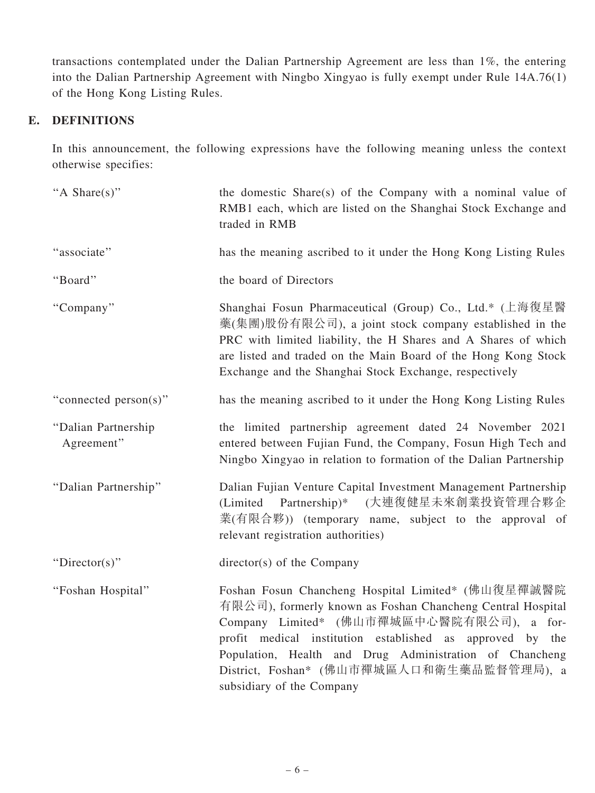transactions contemplated under the Dalian Partnership Agreement are less than 1%, the entering into the Dalian Partnership Agreement with Ningbo Xingyao is fully exempt under Rule 14A.76(1) of the Hong Kong Listing Rules.

# E. DEFINITIONS

In this announcement, the following expressions have the following meaning unless the context otherwise specifies:

| "A Share(s)"                      | the domestic Share(s) of the Company with a nominal value of<br>RMB1 each, which are listed on the Shanghai Stock Exchange and<br>traded in RMB                                                                                                                                                                                                                 |
|-----------------------------------|-----------------------------------------------------------------------------------------------------------------------------------------------------------------------------------------------------------------------------------------------------------------------------------------------------------------------------------------------------------------|
| "associate"                       | has the meaning ascribed to it under the Hong Kong Listing Rules                                                                                                                                                                                                                                                                                                |
| "Board"                           | the board of Directors                                                                                                                                                                                                                                                                                                                                          |
| "Company"                         | Shanghai Fosun Pharmaceutical (Group) Co., Ltd.* (上海復星醫<br>藥(集團)股份有限公司), a joint stock company established in the<br>PRC with limited liability, the H Shares and A Shares of which<br>are listed and traded on the Main Board of the Hong Kong Stock<br>Exchange and the Shanghai Stock Exchange, respectively                                                 |
| "connected person(s)"             | has the meaning ascribed to it under the Hong Kong Listing Rules                                                                                                                                                                                                                                                                                                |
| "Dalian Partnership<br>Agreement" | the limited partnership agreement dated 24 November 2021<br>entered between Fujian Fund, the Company, Fosun High Tech and<br>Ningbo Xingyao in relation to formation of the Dalian Partnership                                                                                                                                                                  |
| "Dalian Partnership"              | Dalian Fujian Venture Capital Investment Management Partnership<br>(Limited Partnership)* (大連復健星未來創業投資管理合夥企<br>業(有限合夥)) (temporary name, subject to the approval of<br>relevant registration authorities)                                                                                                                                                       |
| "Director(s)"                     | $directory(s)$ of the Company                                                                                                                                                                                                                                                                                                                                   |
| "Foshan Hospital"                 | Foshan Fosun Chancheng Hospital Limited* (佛山復星禪誠醫院<br>有限公司), formerly known as Foshan Chancheng Central Hospital<br>Company Limited* (佛山市禪城區中心醫院有限公司), a for-<br>profit medical institution established as approved by the<br>Population, Health and Drug Administration of Chancheng<br>District, Foshan* (佛山市禪城區人口和衛生藥品監督管理局), a<br>subsidiary of the Company |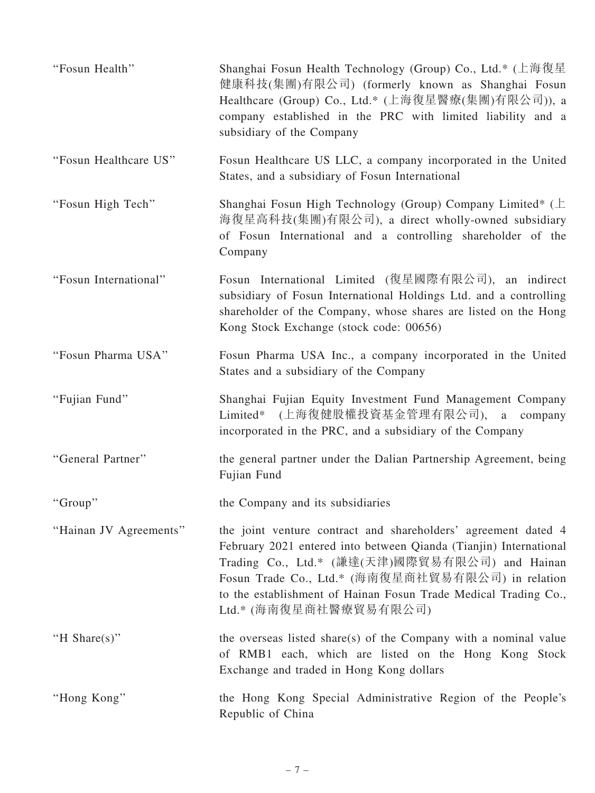| "Fosun Health"         | Shanghai Fosun Health Technology (Group) Co., Ltd.* (上海復星<br>健康科技(集團)有限公司) (formerly known as Shanghai Fosun<br>Healthcare (Group) Co., Ltd.* (上海復星醫療(集團)有限公司)), a<br>company established in the PRC with limited liability and a<br>subsidiary of the Company                                                                          |
|------------------------|-----------------------------------------------------------------------------------------------------------------------------------------------------------------------------------------------------------------------------------------------------------------------------------------------------------------------------------------|
| "Fosun Healthcare US"  | Fosun Healthcare US LLC, a company incorporated in the United<br>States, and a subsidiary of Fosun International                                                                                                                                                                                                                        |
| "Fosun High Tech"      | Shanghai Fosun High Technology (Group) Company Limited* $(\pm)$<br>海復星高科技(集團)有限公司), a direct wholly-owned subsidiary<br>of Fosun International and a controlling shareholder of the<br>Company                                                                                                                                          |
| "Fosun International"  | Fosun International Limited (復星國際有限公司), an indirect<br>subsidiary of Fosun International Holdings Ltd. and a controlling<br>shareholder of the Company, whose shares are listed on the Hong<br>Kong Stock Exchange (stock code: 00656)                                                                                                  |
| "Fosun Pharma USA"     | Fosun Pharma USA Inc., a company incorporated in the United<br>States and a subsidiary of the Company                                                                                                                                                                                                                                   |
| "Fujian Fund"          | Shanghai Fujian Equity Investment Fund Management Company<br>Limited* (上海復健股權投資基金管理有限公司), a<br>company<br>incorporated in the PRC, and a subsidiary of the Company                                                                                                                                                                      |
| "General Partner"      | the general partner under the Dalian Partnership Agreement, being<br>Fujian Fund                                                                                                                                                                                                                                                        |
| "Group"                | the Company and its subsidiaries                                                                                                                                                                                                                                                                                                        |
| "Hainan JV Agreements" | the joint venture contract and shareholders' agreement dated 4<br>February 2021 entered into between Qianda (Tianjin) International<br>Trading Co., Ltd.* (謙達(天津)國際貿易有限公司) and Hainan<br>Fosun Trade Co., Ltd.* (海南復星商社貿易有限公司) in relation<br>to the establishment of Hainan Fosun Trade Medical Trading Co.,<br>Ltd.* (海南復星商社醫療貿易有限公司) |
| "H Share $(s)$ "       | the overseas listed share(s) of the Company with a nominal value<br>of RMB1 each, which are listed on the Hong Kong Stock<br>Exchange and traded in Hong Kong dollars                                                                                                                                                                   |
| "Hong Kong"            | the Hong Kong Special Administrative Region of the People's<br>Republic of China                                                                                                                                                                                                                                                        |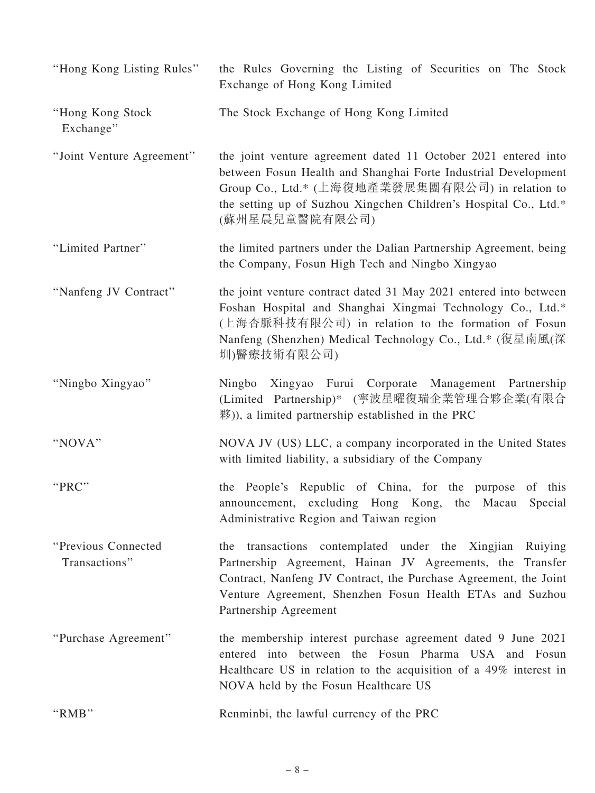| "Hong Kong Listing Rules"            | the Rules Governing the Listing of Securities on The Stock<br>Exchange of Hong Kong Limited                                                                                                                                                                                          |
|--------------------------------------|--------------------------------------------------------------------------------------------------------------------------------------------------------------------------------------------------------------------------------------------------------------------------------------|
| "Hong Kong Stock<br>Exchange"        | The Stock Exchange of Hong Kong Limited                                                                                                                                                                                                                                              |
| "Joint Venture Agreement"            | the joint venture agreement dated 11 October 2021 entered into<br>between Fosun Health and Shanghai Forte Industrial Development<br>Group Co., Ltd.* (上海復地產業發展集團有限公司) in relation to<br>the setting up of Suzhou Xingchen Children's Hospital Co., Ltd.*<br>(蘇州星晨兒童醫院有限公司)           |
| "Limited Partner"                    | the limited partners under the Dalian Partnership Agreement, being<br>the Company, Fosun High Tech and Ningbo Xingyao                                                                                                                                                                |
| "Nanfeng JV Contract"                | the joint venture contract dated 31 May 2021 entered into between<br>Foshan Hospital and Shanghai Xingmai Technology Co., Ltd.*<br>(上海杏脈科技有限公司) in relation to the formation of Fosun<br>Nanfeng (Shenzhen) Medical Technology Co., Ltd.* (復星南風(深<br>圳)醫療技術有限公司)                     |
| "Ningbo Xingyao"                     | Ningbo Xingyao Furui Corporate Management Partnership<br>(Limited Partnership)* (寧波星曜復瑞企業管理合夥企業(有限合<br>$\mathbb{R}^{(1)}$ ), a limited partnership established in the PRC                                                                                                            |
| "NOVA"                               | NOVA JV (US) LLC, a company incorporated in the United States<br>with limited liability, a subsidiary of the Company                                                                                                                                                                 |
| "PRC"                                | the People's Republic of China, for the purpose of this<br>announcement, excluding Hong Kong, the Macau Special<br>Administrative Region and Taiwan region                                                                                                                           |
| "Previous Connected<br>Transactions" | transactions contemplated under the Xingjian<br>Ruiying<br>the<br>Partnership Agreement, Hainan JV Agreements, the Transfer<br>Contract, Nanfeng JV Contract, the Purchase Agreement, the Joint<br>Venture Agreement, Shenzhen Fosun Health ETAs and Suzhou<br>Partnership Agreement |
| "Purchase Agreement"                 | the membership interest purchase agreement dated 9 June 2021<br>entered into between the Fosun Pharma USA and Fosun<br>Healthcare US in relation to the acquisition of a 49% interest in<br>NOVA held by the Fosun Healthcare US                                                     |
| "RMB"                                | Renminbi, the lawful currency of the PRC                                                                                                                                                                                                                                             |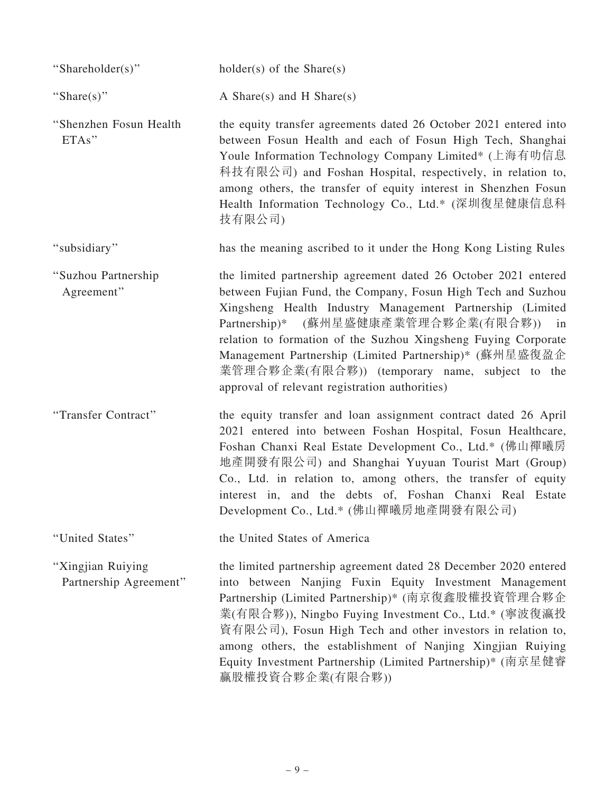| "Shareholder(s)"                            | holder(s) of the $Share(s)$                                                                                                                                                                                                                                                                                                                                                                                                                                                |
|---------------------------------------------|----------------------------------------------------------------------------------------------------------------------------------------------------------------------------------------------------------------------------------------------------------------------------------------------------------------------------------------------------------------------------------------------------------------------------------------------------------------------------|
| "Share(s)"                                  | A Share $(s)$ and H Share $(s)$                                                                                                                                                                                                                                                                                                                                                                                                                                            |
| "Shenzhen Fosun Health<br>ETAs"             | the equity transfer agreements dated 26 October 2021 entered into<br>between Fosun Health and each of Fosun High Tech, Shanghai<br>Youle Information Technology Company Limited* (上海有叻信息<br>科技有限公司) and Foshan Hospital, respectively, in relation to,<br>among others, the transfer of equity interest in Shenzhen Fosun<br>Health Information Technology Co., Ltd.* (深圳復星健康信息科<br>技有限公司)                                                                                 |
| "subsidiary"                                | has the meaning ascribed to it under the Hong Kong Listing Rules                                                                                                                                                                                                                                                                                                                                                                                                           |
| "Suzhou Partnership<br>Agreement"           | the limited partnership agreement dated 26 October 2021 entered<br>between Fujian Fund, the Company, Fosun High Tech and Suzhou<br>Xingsheng Health Industry Management Partnership (Limited<br>Partnership)* (蘇州星盛健康產業管理合夥企業(有限合夥))<br>in<br>relation to formation of the Suzhou Xingsheng Fuying Corporate<br>Management Partnership (Limited Partnership)* (蘇州星盛復盈企<br>業管理合夥企業(有限合夥)) (temporary name, subject to the<br>approval of relevant registration authorities) |
| "Transfer Contract"                         | the equity transfer and loan assignment contract dated 26 April<br>2021 entered into between Foshan Hospital, Fosun Healthcare,<br>Foshan Chanxi Real Estate Development Co., Ltd.* (佛山禪曦房<br>地產開發有限公司) and Shanghai Yuyuan Tourist Mart (Group)<br>Co., Ltd. in relation to, among others, the transfer of equity<br>interest in, and the debts of, Foshan Chanxi Real Estate<br>Development Co., Ltd.* (佛山禪曦房地產開發有限公司)                                                   |
| "United States"                             | the United States of America                                                                                                                                                                                                                                                                                                                                                                                                                                               |
| "Xingjian Ruiying<br>Partnership Agreement" | the limited partnership agreement dated 28 December 2020 entered<br>into between Nanjing Fuxin Equity Investment Management<br>Partnership (Limited Partnership)* (南京復鑫股權投資管理合夥企<br>業(有限合夥)), Ningbo Fuying Investment Co., Ltd.* (寧波復瀛投<br>資有限公司), Fosun High Tech and other investors in relation to,<br>among others, the establishment of Nanjing Xingjian Ruiying<br>Equity Investment Partnership (Limited Partnership)* (南京星健睿<br>赢股權投資合夥企業(有限合夥))                  |